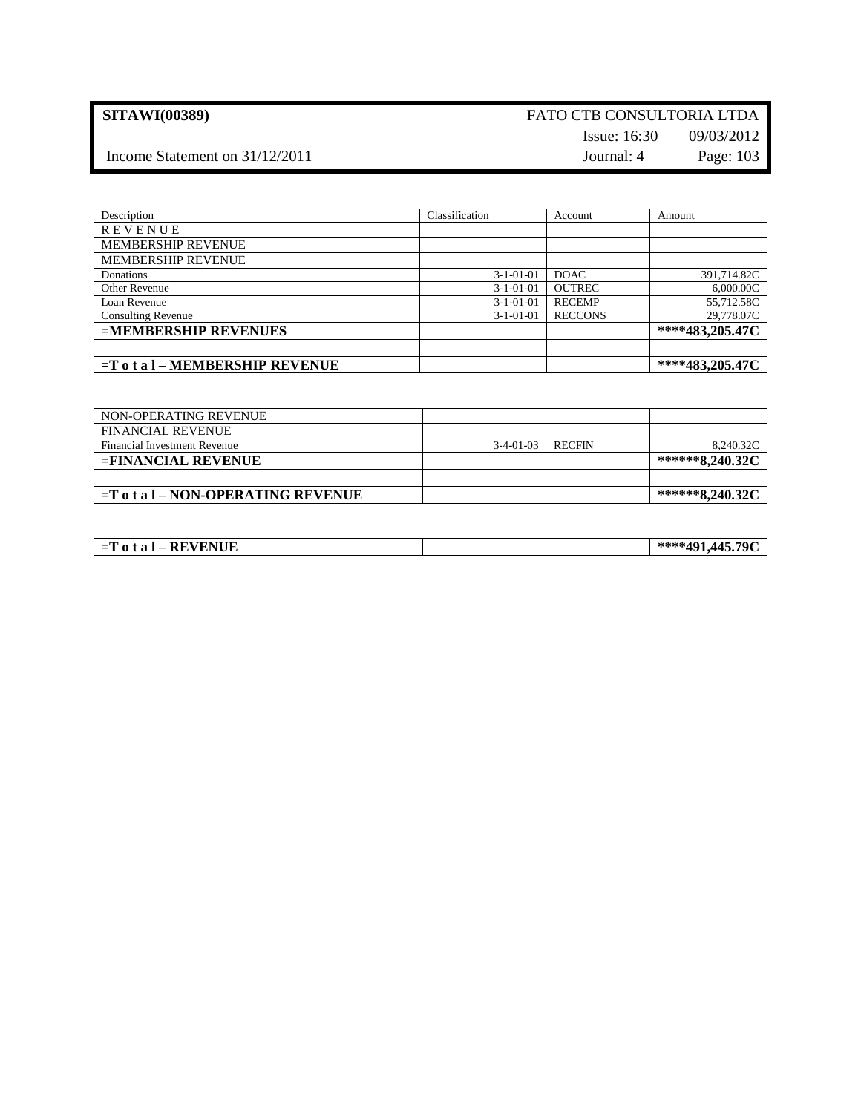## **SITAWI(00389)** FATO CTB CONSULTORIA LTDA Issue: 16:30 09/03/2012

# Income Statement on 31/12/2011 Journal: 4 Page: 103

| Description                        | Classification | Account        | Amount          |
|------------------------------------|----------------|----------------|-----------------|
| REVENUE                            |                |                |                 |
| <b>MEMBERSHIP REVENUE</b>          |                |                |                 |
| <b>MEMBERSHIP REVENUE</b>          |                |                |                 |
| Donations                          | $3-1-01-01$    | <b>DOAC</b>    | 391,714.82C     |
| Other Revenue                      | $3-1-01-01$    | <b>OUTREC</b>  | 6,000.00C       |
| Loan Revenue                       | $3-1-01-01$    | <b>RECEMP</b>  | 55,712.58C      |
| <b>Consulting Revenue</b>          | $3-1-01-01$    | <b>RECCONS</b> | 29,778.07C      |
| =MEMBERSHIP REVENUES               |                |                | ****483,205.47C |
|                                    |                |                |                 |
| $=$ T o t a l – MEMBERSHIP REVENUE |                |                | ****483,205.47C |

| NON-OPERATING REVENUE                 |             |               |                 |
|---------------------------------------|-------------|---------------|-----------------|
| <b>FINANCIAL REVENUE</b>              |             |               |                 |
| Financial Investment Revenue          | $3-4-01-03$ | <b>RECFIN</b> | 8,240.32C       |
| $=$ FINANCIAL REVENUE                 |             |               | ******8,240.32C |
|                                       |             |               |                 |
| $=$ T o t a l – NON-OPERATING REVENUE |             |               | ******8,240.32C |

| -------<br>VENUE<br>- D 17<br>$\Omega$<br>$-1$<br>кc<br>-4<br>_<br><br>$\sim$ |  | 704<br><i>AAE</i> '<br><u>л.</u> |
|-------------------------------------------------------------------------------|--|----------------------------------|
|                                                                               |  |                                  |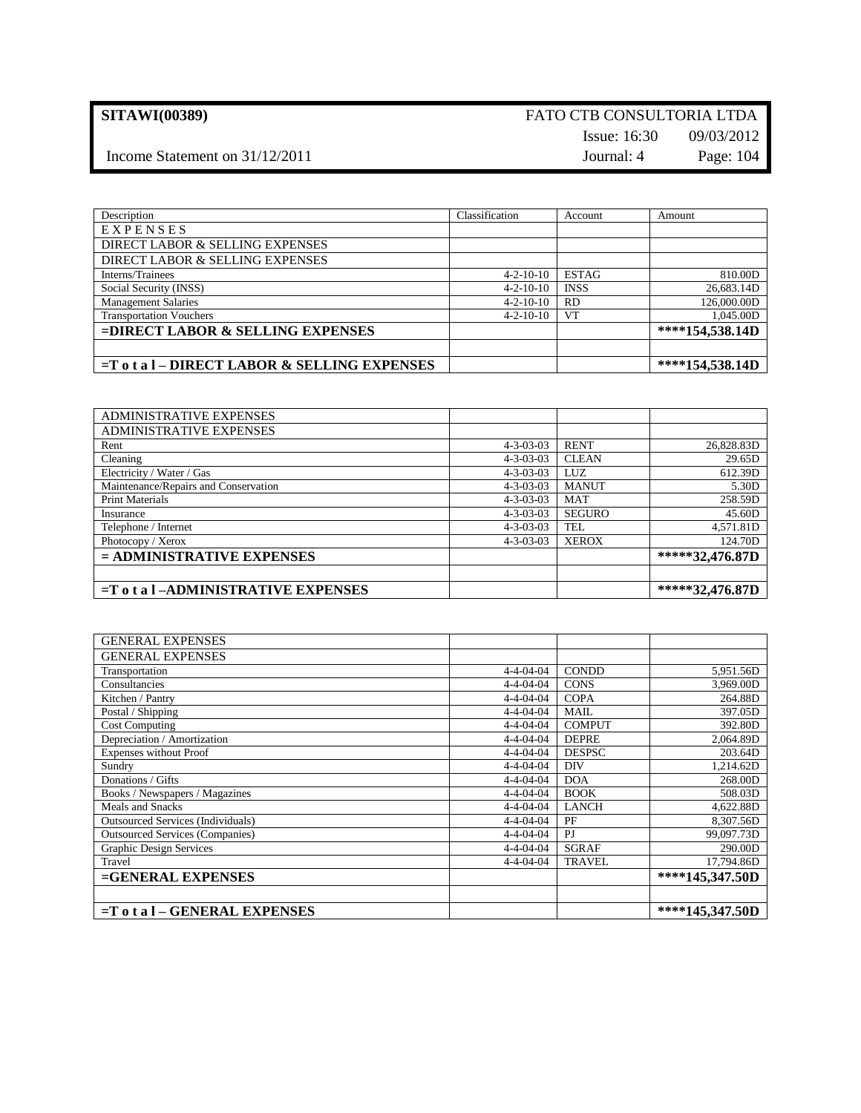### **SITAWI(00389)** FATO CTB CONSULTORIA LTDA Issue: 16:30 09/03/2012

Income Statement on  $31/12/2011$  Journal: 4 Page: 104

| Description                                     | Classification    | Account      | Amount          |
|-------------------------------------------------|-------------------|--------------|-----------------|
| EXPENSES                                        |                   |              |                 |
| DIRECT LABOR & SELLING EXPENSES                 |                   |              |                 |
| DIRECT LABOR & SELLING EXPENSES                 |                   |              |                 |
| Interns/Trainees                                | $4 - 2 - 10 - 10$ | <b>ESTAG</b> | 810.00D         |
| Social Security (INSS)                          | $4 - 2 - 10 - 10$ | <b>INSS</b>  | 26,683.14D      |
| <b>Management Salaries</b>                      | $4 - 2 - 10 - 10$ | <b>RD</b>    | 126,000.00D     |
| <b>Transportation Vouchers</b>                  | $4 - 2 - 10 - 10$ | <b>VT</b>    | 1,045.00D       |
| =DIRECT LABOR & SELLING EXPENSES                |                   |              | ****154,538.14D |
|                                                 |                   |              |                 |
| $=$ T o t a l – DIRECT LABOR & SELLING EXPENSES |                   |              | ****154,538.14D |

| <b>ADMINISTRATIVE EXPENSES</b>          |                   |               |                 |
|-----------------------------------------|-------------------|---------------|-----------------|
| <b>ADMINISTRATIVE EXPENSES</b>          |                   |               |                 |
| Rent                                    | $4 - 3 - 03 - 03$ | <b>RENT</b>   | 26,828.83D      |
| Cleaning                                | $4 - 3 - 03 - 03$ | <b>CLEAN</b>  | 29.65D          |
| Electricity / Water / Gas               | $4 - 3 - 03 - 03$ | LUZ           | 612.39D         |
| Maintenance/Repairs and Conservation    | $4 - 3 - 03 - 03$ | <b>MANUT</b>  | 5.30D           |
| <b>Print Materials</b>                  | $4 - 3 - 03 - 03$ | <b>MAT</b>    | 258.59D         |
| Insurance                               | $4 - 3 - 03 - 03$ | <b>SEGURO</b> | 45.60D          |
| Telephone / Internet                    | $4 - 3 - 03 - 03$ | <b>TEL</b>    | 4,571.81D       |
| Photocopy / Xerox                       | $4 - 3 - 03 - 03$ | <b>XEROX</b>  | 124.70D         |
| $=$ ADMINISTRATIVE EXPENSES             |                   |               | *****32,476.87D |
|                                         |                   |               |                 |
| $=T$ o t a $I$ -ADMINISTRATIVE EXPENSES |                   |               | *****32,476.87D |

| <b>GENERAL EXPENSES</b>                  |                   |               |                 |
|------------------------------------------|-------------------|---------------|-----------------|
| <b>GENERAL EXPENSES</b>                  |                   |               |                 |
| Transportation                           | $4 - 4 - 04 - 04$ | <b>CONDD</b>  | 5,951.56D       |
| Consultancies                            | $4 - 4 - 04 - 04$ | <b>CONS</b>   | 3,969.00D       |
| Kitchen / Pantry                         | $4 - 4 - 04 - 04$ | <b>COPA</b>   | 264.88D         |
| Postal / Shipping                        | $4 - 4 - 04 - 04$ | <b>MAIL</b>   | 397.05D         |
| <b>Cost Computing</b>                    | $4 - 4 - 04 - 04$ | <b>COMPUT</b> | 392.80D         |
| Depreciation / Amortization              | $4 - 4 - 04 - 04$ | <b>DEPRE</b>  | 2,064.89D       |
| <b>Expenses without Proof</b>            | $4 - 4 - 04 - 04$ | <b>DESPSC</b> | 203.64D         |
| Sundry                                   | $4 - 4 - 04 - 04$ | DIV           | 1.214.62D       |
| Donations / Gifts                        | $4 - 4 - 04 - 04$ | <b>DOA</b>    | 268.00D         |
| Books / Newspapers / Magazines           | $4 - 4 - 04 - 04$ | <b>BOOK</b>   | 508.03D         |
| Meals and Snacks                         | $4 - 4 - 04 - 04$ | <b>LANCH</b>  | 4,622.88D       |
| <b>Outsourced Services (Individuals)</b> | $4 - 4 - 04 - 04$ | PF            | 8,307.56D       |
| <b>Outsourced Services (Companies)</b>   | $4 - 4 - 04 - 04$ | PJ            | 99,097.73D      |
| <b>Graphic Design Services</b>           | $4 - 4 - 04 - 04$ | <b>SGRAF</b>  | 290.00D         |
| Travel                                   | $4 - 4 - 04 - 04$ | <b>TRAVEL</b> | 17,794.86D      |
| =GENERAL EXPENSES                        |                   |               | ****145,347.50D |
|                                          |                   |               |                 |
| $=T$ o t a $I - GENERAL$ EXPENSES        |                   |               | ****145,347.50D |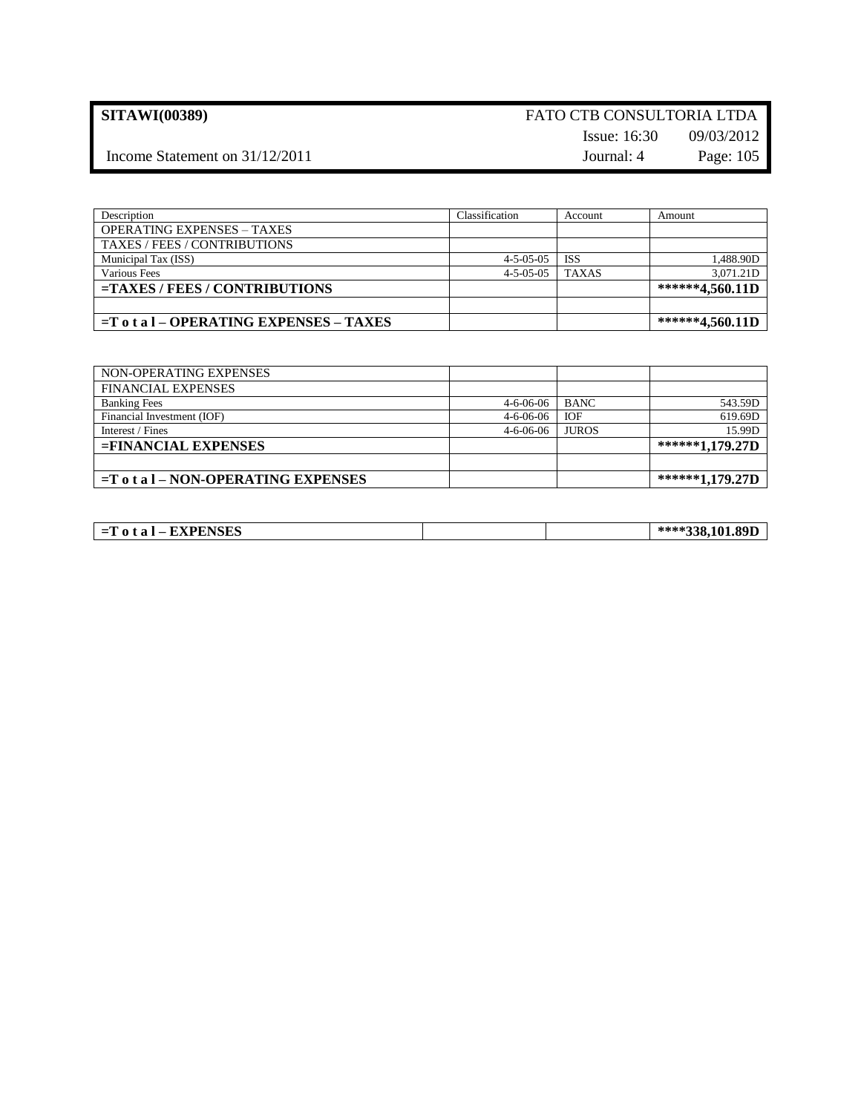## **SITAWI(00389)** FATO CTB CONSULTORIA LTDA Issue: 16:30 09/03/2012

Income Statement on  $31/12/2011$  Journal: 4 Page: 105

| Description                                | Classification      | Account      | Amount          |
|--------------------------------------------|---------------------|--------------|-----------------|
| <b>OPERATING EXPENSES – TAXES</b>          |                     |              |                 |
| TAXES / FEES / CONTRIBUTIONS               |                     |              |                 |
| Municipal Tax (ISS)                        | $4 - 5 - 0.5 - 0.5$ | <b>ISS</b>   | 1,488.90D       |
| Various Fees                               | $4 - 5 - 0.5 - 0.5$ | <b>TAXAS</b> | 3.071.21D       |
| $=$ TAXES / FEES / CONTRIBUTIONS           |                     |              | ******4,560.11D |
|                                            |                     |              |                 |
| $=$ T o t a l – OPERATING EXPENSES – TAXES |                     |              | ******4,560.11D |

| NON-OPERATING EXPENSES                 |                   |              |                 |
|----------------------------------------|-------------------|--------------|-----------------|
| <b>FINANCIAL EXPENSES</b>              |                   |              |                 |
| <b>Banking Fees</b>                    | $4 - 6 - 06 - 06$ | <b>BANC</b>  | 543.59D         |
| Financial Investment (IOF)             | $4 - 6 - 06 - 06$ | <b>IOF</b>   | 619.69D         |
| Interest / Fines                       | $4 - 6 - 06 - 06$ | <b>JUROS</b> | 15.99D          |
| $=$ FINANCIAL EXPENSES                 |                   |              | ******1,179.27D |
|                                        |                   |              |                 |
| $=$ T o t a l – NON-OPERATING EXPENSES |                   |              | ******1,179.27D |

| <b>EXPENSES</b><br>.101.89I<br>tal<br>≔⊥ |
|------------------------------------------|
|------------------------------------------|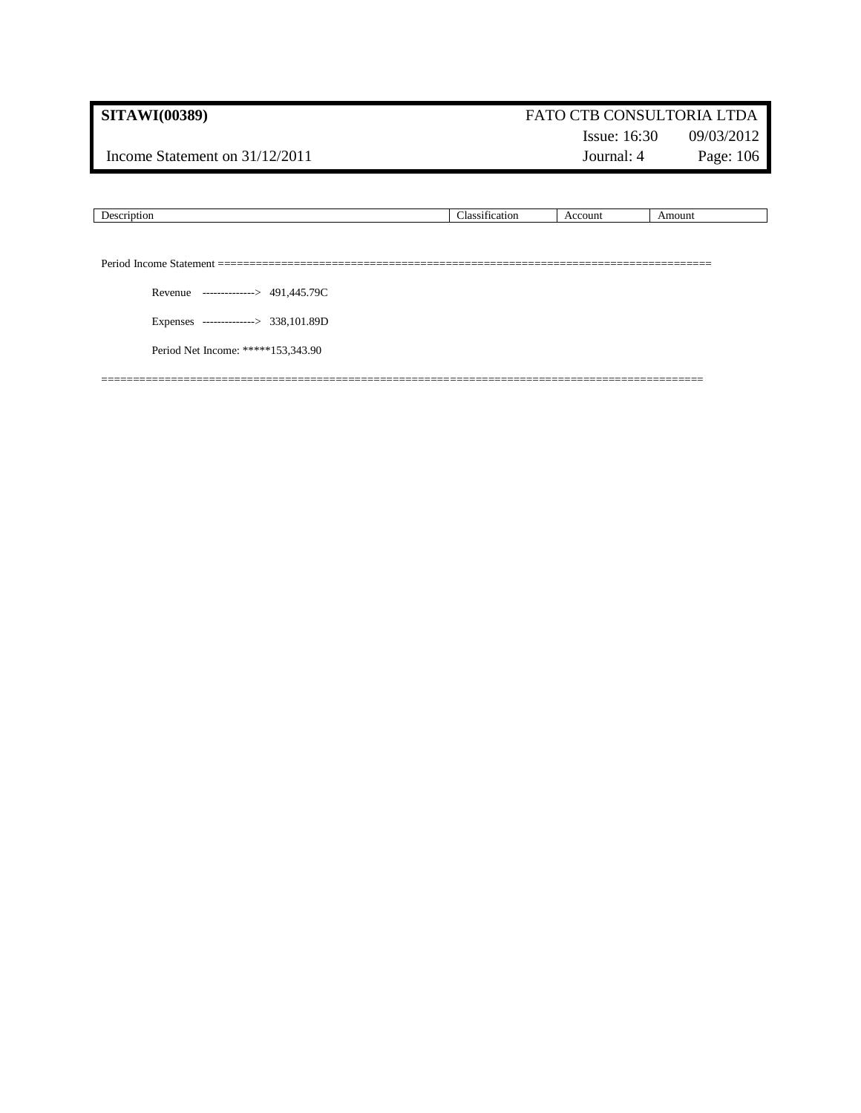Income Statement on  $31/12/2011$  Journal: 4 Page: 106

# Issue: 16:30 09/03/2012

|                                      | Classification | Account | Amount |
|--------------------------------------|----------------|---------|--------|
|                                      |                |         |        |
|                                      |                |         |        |
| Revenue --------------> 491,445.79C  |                |         |        |
| Expenses --------------> 338,101.89D |                |         |        |
| Period Net Income: *****153,343.90   |                |         |        |
|                                      |                |         |        |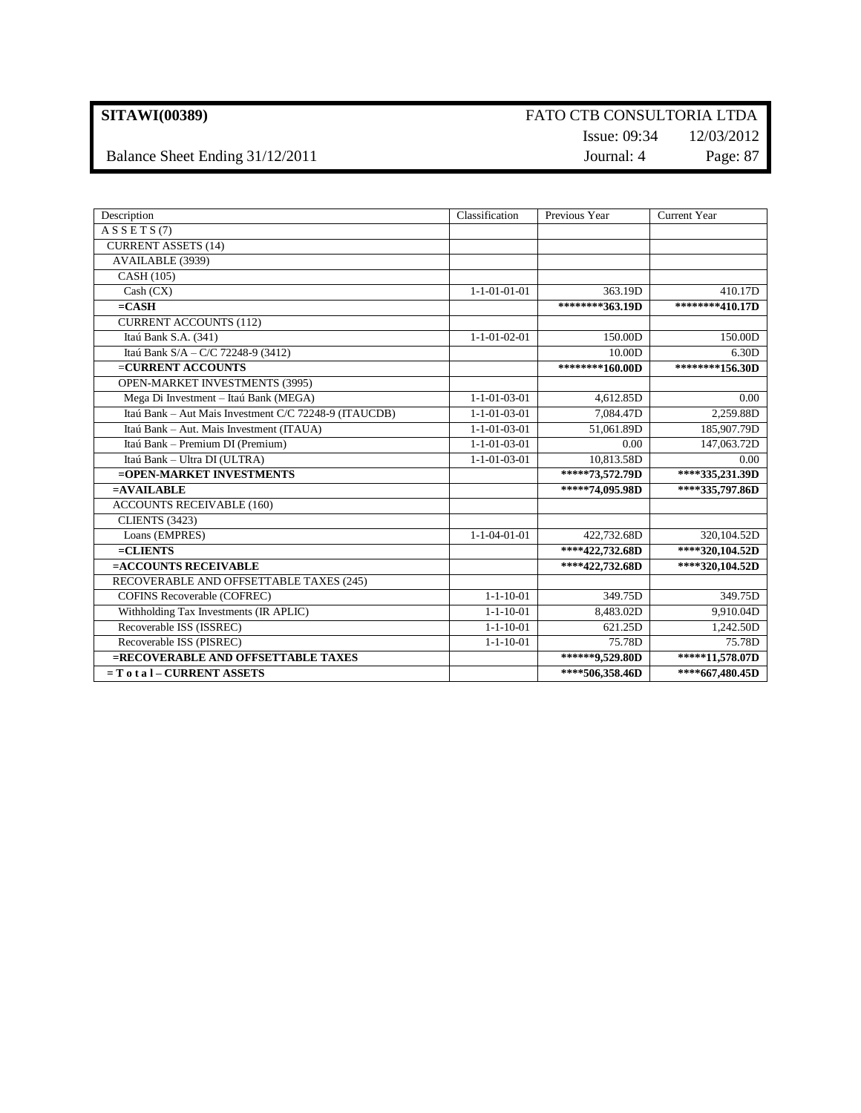Balance Sheet Ending 31/12/2011 Journal: 4 Page: 87

# Issue: 09:34 12/03/2012

| Description                                           | Classification         | Previous Year   | <b>Current Year</b> |
|-------------------------------------------------------|------------------------|-----------------|---------------------|
| A S S E T S (7)                                       |                        |                 |                     |
| <b>CURRENT ASSETS (14)</b>                            |                        |                 |                     |
| AVAILABLE (3939)                                      |                        |                 |                     |
| CASH (105)                                            |                        |                 |                     |
| Cash (CX)                                             | $1 - 1 - 01 - 01 - 01$ | 363.19D         | 410.17D             |
| $=$ CASH                                              |                        | ********363.19D | ********410.17D     |
| <b>CURRENT ACCOUNTS (112)</b>                         |                        |                 |                     |
| Itaú Bank S.A. (341)                                  | $1 - 1 - 01 - 02 - 01$ | 150.00D         | 150.00D             |
| Itaú Bank S/A - C/C 72248-9 (3412)                    |                        | 10.00D          | 6.30D               |
| =CURRENT ACCOUNTS                                     |                        | ********160.00D | ********156.30D     |
| OPEN-MARKET INVESTMENTS (3995)                        |                        |                 |                     |
| Mega Di Investment - Itaú Bank (MEGA)                 | $1 - 1 - 01 - 03 - 01$ | 4,612.85D       | 0.00                |
| Itaú Bank - Aut Mais Investment C/C 72248-9 (ITAUCDB) | $1 - 1 - 01 - 03 - 01$ | 7,084.47D       | 2,259.88D           |
| Itaú Bank - Aut. Mais Investment (ITAUA)              | $1 - 1 - 01 - 03 - 01$ | 51,061.89D      | 185,907.79D         |
| Itaú Bank - Premium DI (Premium)                      | $1 - 1 - 01 - 03 - 01$ | 0.00            | 147,063.72D         |
| Itaú Bank - Ultra DI (ULTRA)                          | $1 - 1 - 01 - 03 - 01$ | 10,813.58D      | 0.00                |
| =OPEN-MARKET INVESTMENTS                              |                        | *****73,572.79D | ****335,231.39D     |
| $=$ AVAILABLE                                         |                        | *****74,095.98D | ****335,797.86D     |
| <b>ACCOUNTS RECEIVABLE (160)</b>                      |                        |                 |                     |
| <b>CLIENTS (3423)</b>                                 |                        |                 |                     |
| Loans (EMPRES)                                        | $1 - 1 - 04 - 01 - 01$ | 422,732.68D     | 320,104.52D         |
| $=CLIENTS$                                            |                        | ****422,732.68D | ****320,104.52D     |
| =ACCOUNTS RECEIVABLE                                  |                        | ****422,732.68D | ****320,104.52D     |
| RECOVERABLE AND OFFSETTABLE TAXES (245)               |                        |                 |                     |
| <b>COFINS Recoverable (COFREC)</b>                    | $1 - 1 - 10 - 01$      | 349.75D         | 349.75D             |
| Withholding Tax Investments (IR APLIC)                | $1 - 1 - 10 - 01$      | 8,483.02D       | 9,910.04D           |
| Recoverable ISS (ISSREC)                              | $1 - 1 - 10 - 01$      | 621.25D         | 1,242.50D           |
| Recoverable ISS (PISREC)                              | $1 - 1 - 10 - 01$      | 75.78D          | 75.78D              |
| =RECOVERABLE AND OFFSETTABLE TAXES                    |                        | ******9,529.80D | *****11,578.07D     |
| $= T 0 t a 1 - CURRENT ASSETS$                        |                        | ****506,358.46D | ****667,480.45D     |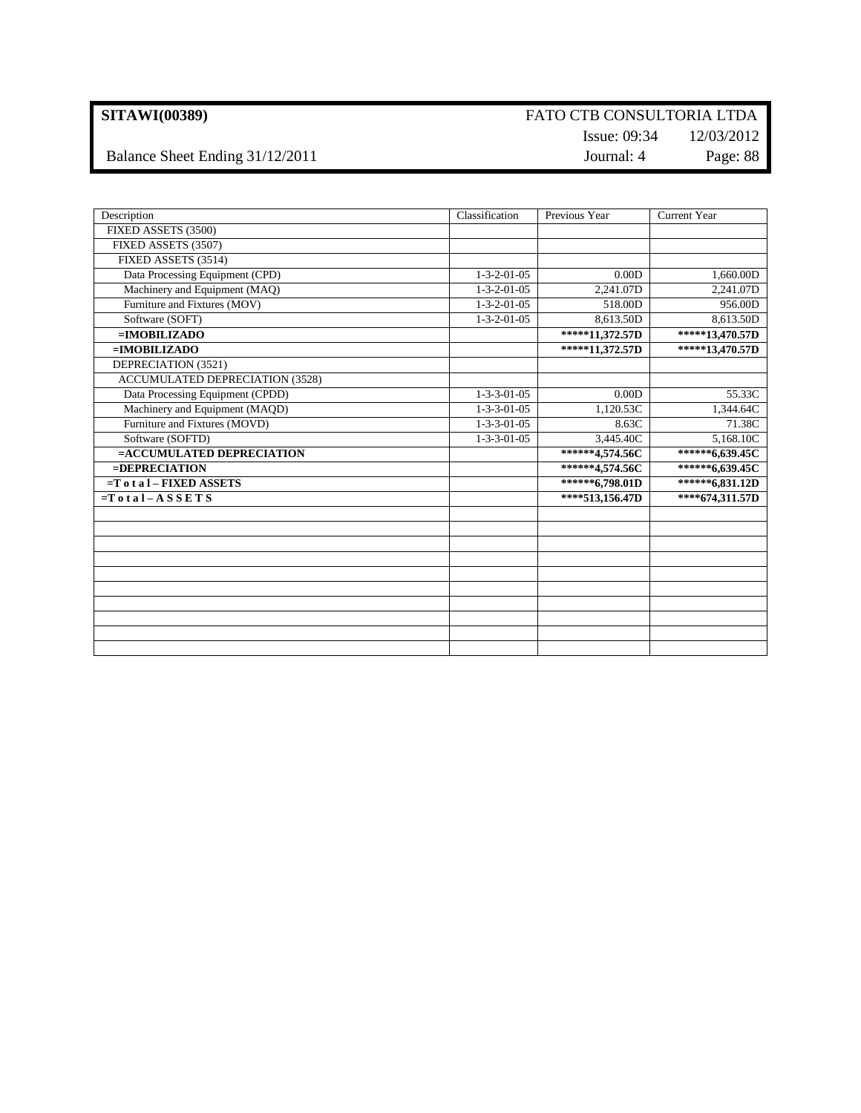Balance Sheet Ending 31/12/2011 Journal: 4 Page: 88

## Issue: 09:34 12/03/2012

| Description                            | Classification        | Previous Year                                    | <b>Current Year</b> |
|----------------------------------------|-----------------------|--------------------------------------------------|---------------------|
| FIXED ASSETS (3500)                    |                       |                                                  |                     |
| FIXED ASSETS (3507)                    |                       |                                                  |                     |
| FIXED ASSETS (3514)                    |                       |                                                  |                     |
| Data Processing Equipment (CPD)        | $1 - 3 - 2 - 01 - 05$ | 0.00D                                            | 1,660.00D           |
| Machinery and Equipment (MAQ)          | $1 - 3 - 2 - 01 - 05$ | 2,241.07D                                        | 2,241.07D           |
| Furniture and Fixtures (MOV)           | $1 - 3 - 2 - 01 - 05$ | 518.00D                                          | 956.00D             |
| Software (SOFT)                        | $1 - 3 - 2 - 01 - 05$ | 8,613.50D                                        | 8,613.50D           |
| $=IMOBILIZADO$                         |                       | $\overline{\ast \ast \ast \ast \ast }11,372.57D$ | *****13,470.57D     |
| $=$ <b>IMOBILIZADO</b>                 |                       | *****11,372.57D                                  | *****13,470.57D     |
| DEPRECIATION (3521)                    |                       |                                                  |                     |
| <b>ACCUMULATED DEPRECIATION (3528)</b> |                       |                                                  |                     |
| Data Processing Equipment (CPDD)       | $1 - 3 - 3 - 01 - 05$ | 0.00D                                            | 55.33C              |
| Machinery and Equipment (MAQD)         | $1 - 3 - 3 - 01 - 05$ | 1,120.53C                                        | 1,344.64C           |
| Furniture and Fixtures (MOVD)          | $1 - 3 - 3 - 01 - 05$ | 8.63C                                            | 71.38C              |
| Software (SOFTD)                       | $1 - 3 - 3 - 01 - 05$ | 3,445.40C                                        | 5,168.10C           |
| =ACCUMULATED DEPRECIATION              |                       | ******4,574.56C                                  | ******6,639.45C     |
| $=$ <b>DEPRECIATION</b>                |                       | ******4,574.56C                                  | ******6,639.45C     |
| $=T$ o t a $I$ – FIXED ASSETS          |                       | ******6,798.01D                                  | ******6,831.12D     |
| $=Total-ASSETS$                        |                       | ****513,156.47D                                  | ****674,311.57D     |
|                                        |                       |                                                  |                     |
|                                        |                       |                                                  |                     |
|                                        |                       |                                                  |                     |
|                                        |                       |                                                  |                     |
|                                        |                       |                                                  |                     |
|                                        |                       |                                                  |                     |
|                                        |                       |                                                  |                     |
|                                        |                       |                                                  |                     |
|                                        |                       |                                                  |                     |
|                                        |                       |                                                  |                     |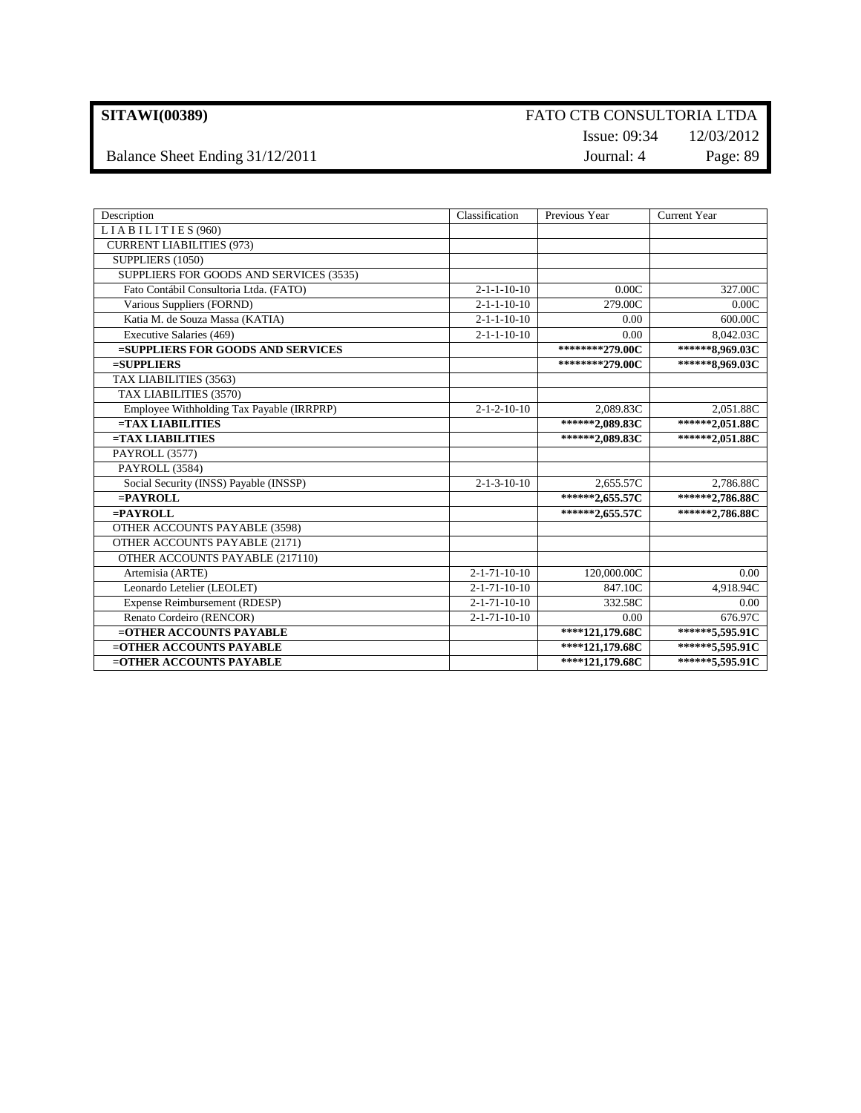Balance Sheet Ending 31/12/2011 Journal: 4 Page: 89

# Issue: 09:34 12/03/2012

| Description                               | Classification         | Previous Year                             | <b>Current Year</b> |
|-------------------------------------------|------------------------|-------------------------------------------|---------------------|
| LIABILITIES (960)                         |                        |                                           |                     |
| <b>CURRENT LIABILITIES (973)</b>          |                        |                                           |                     |
| SUPPLIERS (1050)                          |                        |                                           |                     |
| SUPPLIERS FOR GOODS AND SERVICES (3535)   |                        |                                           |                     |
| Fato Contábil Consultoria Ltda. (FATO)    | $2 - 1 - 1 - 10 - 10$  | 0.00C                                     | 327.00C             |
| Various Suppliers (FORND)                 | $2 - 1 - 1 - 10 - 10$  | 279.00C                                   | 0.00C               |
| Katia M. de Souza Massa (KATIA)           | $2 - 1 - 1 - 10 - 10$  | 0.00                                      | 600.00C             |
| Executive Salaries (469)                  | $2 - 1 - 1 - 10 - 10$  | 0.00                                      | 8,042.03C           |
| =SUPPLIERS FOR GOODS AND SERVICES         |                        | *********279.00C                          | ******8,969.03C     |
| $=$ SUPPLIERS                             |                        | ********279.00C                           | ******8,969.03C     |
| TAX LIABILITIES (3563)                    |                        |                                           |                     |
| TAX LIABILITIES (3570)                    |                        |                                           |                     |
| Employee Withholding Tax Payable (IRRPRP) | $2 - 1 - 2 - 10 - 10$  | 2,089.83C                                 | 2,051.88C           |
| $= TAX LIABILITY$                         |                        | ******2,089.83C                           | ******2,051.88C     |
| $=$ TAX LIABILITIES                       |                        | ******2,089.83C                           | ******2,051.88C     |
| PAYROLL (3577)                            |                        |                                           |                     |
| PAYROLL (3584)                            |                        |                                           |                     |
| Social Security (INSS) Payable (INSSP)    | $2 - 1 - 3 - 10 - 10$  | 2,655.57C                                 | 2,786.88C           |
| $=$ PAYROLL                               |                        | ******2,655.57C                           | ******2,786.88C     |
| $=$ PAYROLL                               |                        | ******2,655.57C                           | ******2,786.88C     |
| OTHER ACCOUNTS PAYABLE (3598)             |                        |                                           |                     |
| OTHER ACCOUNTS PAYABLE (2171)             |                        |                                           |                     |
| OTHER ACCOUNTS PAYABLE (217110)           |                        |                                           |                     |
| Artemisia (ARTE)                          | $2 - 1 - 71 - 10 - 10$ | 120,000.00C                               | 0.00                |
| Leonardo Letelier (LEOLET)                | $2 - 1 - 71 - 10 - 10$ | 847.10C                                   | 4,918.94C           |
| Expense Reimbursement (RDESP)             | $2 - 1 - 71 - 10 - 10$ | 332.58C                                   | 0.00                |
| Renato Cordeiro (RENCOR)                  | $2 - 1 - 71 - 10 - 10$ | 0.00                                      | 676.97C             |
| =OTHER ACCOUNTS PAYABLE                   |                        | $***121,179.68C$                          | ******5,595.91C     |
| =OTHER ACCOUNTS PAYABLE                   |                        | $\overline{\ast\ast\ast\ast}$ 121,179.68C | ******5,595.91C     |
| =OTHER ACCOUNTS PAYABLE                   |                        | ****121,179.68C                           | ******5,595.91C     |